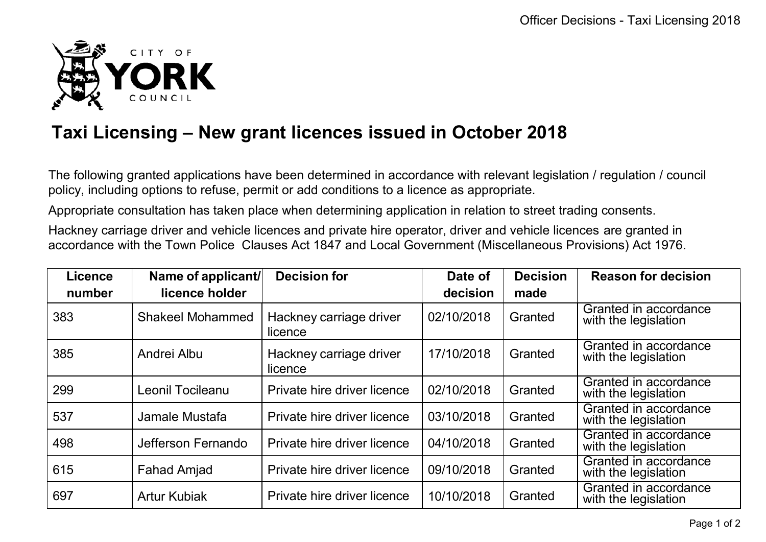

## **Taxi Licensing – New grant licences issued in October 2018**

The following granted applications have been determined in accordance with relevant legislation / regulation / council policy, including options to refuse, permit or add conditions to a licence as appropriate.

Appropriate consultation has taken place when determining application in relation to street trading consents.

Hackney carriage driver and vehicle licences and private hire operator, driver and vehicle licences are granted in accordance with the Town Police Clauses Act 1847 and Local Government (Miscellaneous Provisions) Act 1976.

| <b>Licence</b> | Name of applicant/      | <b>Decision for</b>                | Date of    | <b>Decision</b> | <b>Reason for decision</b>                    |
|----------------|-------------------------|------------------------------------|------------|-----------------|-----------------------------------------------|
| number         | licence holder          |                                    | decision   | made            |                                               |
| 383            | <b>Shakeel Mohammed</b> | Hackney carriage driver<br>licence | 02/10/2018 | Granted         | Granted in accordance<br>with the legislation |
| 385            | Andrei Albu             | Hackney carriage driver<br>licence | 17/10/2018 | Granted         | Granted in accordance<br>with the legislation |
| 299            | Leonil Tocileanu        | Private hire driver licence        | 02/10/2018 | Granted         | Granted in accordance<br>with the legislation |
| 537            | Jamale Mustafa          | Private hire driver licence        | 03/10/2018 | Granted         | Granted in accordance<br>with the legislation |
| 498            | Jefferson Fernando      | Private hire driver licence        | 04/10/2018 | Granted         | Granted in accordance<br>with the legislation |
| 615            | <b>Fahad Amjad</b>      | Private hire driver licence        | 09/10/2018 | Granted         | Granted in accordance<br>with the legislation |
| 697            | <b>Artur Kubiak</b>     | Private hire driver licence        | 10/10/2018 | Granted         | Granted in accordance<br>with the legislation |